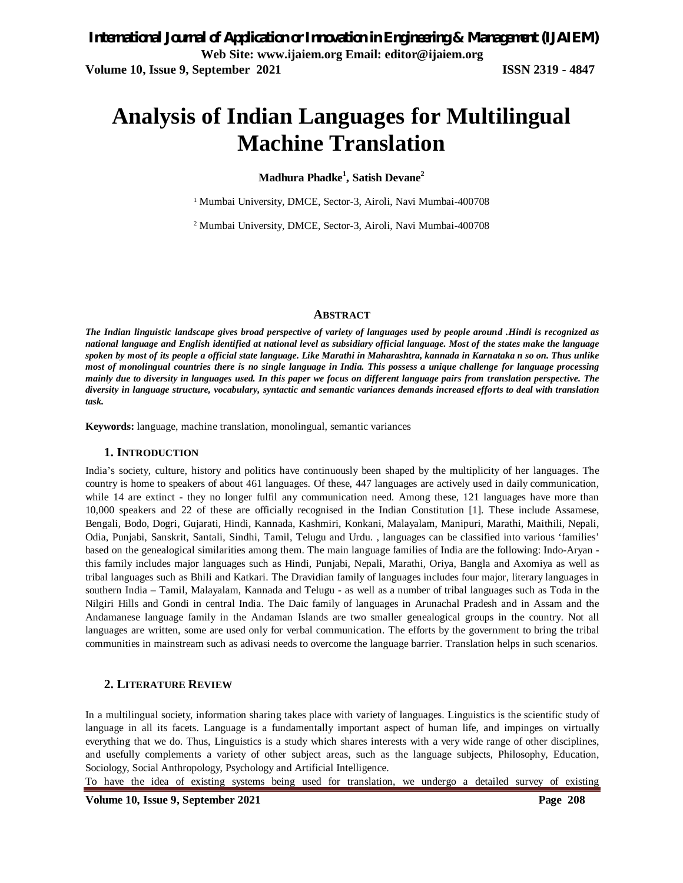# **Analysis of Indian Languages for Multilingual Machine Translation**

## **Madhura Phadke<sup>1</sup> , Satish Devane<sup>2</sup>**

<sup>1</sup> Mumbai University, DMCE, Sector-3, Airoli, Navi Mumbai-400708

<sup>2</sup> Mumbai University, DMCE, Sector-3, Airoli, Navi Mumbai-400708

### **ABSTRACT**

*The Indian linguistic landscape gives broad perspective of variety of languages used by people around .Hindi is recognized as national language and English identified at national level as subsidiary official language. Most of the states make the language spoken by most of its people a official state language. Like Marathi in Maharashtra, kannada in Karnataka n so on. Thus unlike most of monolingual countries there is no single language in India. This possess a unique challenge for language processing mainly due to diversity in languages used. In this paper we focus on different language pairs from translation perspective. The diversity in language structure, vocabulary, syntactic and semantic variances demands increased efforts to deal with translation task.* 

**Keywords:** language, machine translation, monolingual, semantic variances

### **1. INTRODUCTION**

India's society, culture, history and politics have continuously been shaped by the multiplicity of her languages. The country is home to speakers of about 461 languages. Of these, 447 languages are actively used in daily communication, while 14 are extinct - they no longer fulfil any communication need. Among these, 121 languages have more than 10,000 speakers and 22 of these are officially recognised in the Indian Constitution [1]. These include Assamese, Bengali, Bodo, Dogri, Gujarati, Hindi, Kannada, Kashmiri, Konkani, Malayalam, Manipuri, Marathi, Maithili, Nepali, Odia, Punjabi, Sanskrit, Santali, Sindhi, Tamil, Telugu and Urdu. , languages can be classified into various 'families' based on the genealogical similarities among them. The main language families of India are the following: Indo-Aryan this family includes major languages such as Hindi, Punjabi, Nepali, Marathi, Oriya, Bangla and Axomiya as well as tribal languages such as Bhili and Katkari. The Dravidian family of languages includes four major, literary languages in southern India – Tamil, Malayalam, Kannada and Telugu - as well as a number of tribal languages such as Toda in the Nilgiri Hills and Gondi in central India. The Daic family of languages in Arunachal Pradesh and in Assam and the Andamanese language family in the Andaman Islands are two smaller genealogical groups in the country. Not all languages are written, some are used only for verbal communication. The efforts by the government to bring the tribal communities in mainstream such as adivasi needs to overcome the language barrier. Translation helps in such scenarios.

## **2. LITERATURE REVIEW**

In a multilingual society, information sharing takes place with variety of languages. Linguistics is the scientific study of language in all its facets. Language is a fundamentally important aspect of human life, and impinges on virtually everything that we do. Thus, Linguistics is a study which shares interests with a very wide range of other disciplines, and usefully complements a variety of other subject areas, such as the language subjects, Philosophy, Education, Sociology, Social Anthropology, Psychology and Artificial Intelligence.

To have the idea of existing systems being used for translation, we undergo a detailed survey of existing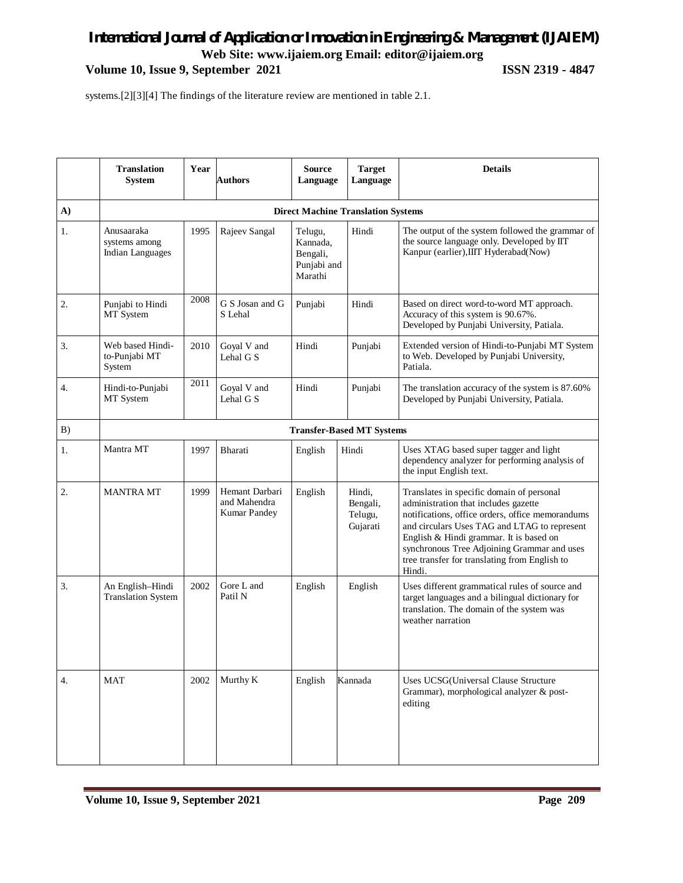## *International Journal of Application or Innovation in Engineering & Management (IJAIEM)* **Web Site: www.ijaiem.org Email: editor@ijaiem.org**

**Volume 10, Issue 9, September 2021 ISSN 2319 - 4847**

systems.[2][3][4] The findings of the literature review are mentioned in table 2.1.

|                | <b>Translation</b><br><b>System</b>                    | Year | <b>Authors</b>                                 | <b>Source</b><br>Language                                 | <b>Target</b><br>Language                 | <b>Details</b>                                                                                                                                                                                                                                                                                                                             |
|----------------|--------------------------------------------------------|------|------------------------------------------------|-----------------------------------------------------------|-------------------------------------------|--------------------------------------------------------------------------------------------------------------------------------------------------------------------------------------------------------------------------------------------------------------------------------------------------------------------------------------------|
| $\mathbf{A}$   |                                                        |      |                                                | <b>Direct Machine Translation Systems</b>                 |                                           |                                                                                                                                                                                                                                                                                                                                            |
| 1.             | Anusaaraka<br>systems among<br><b>Indian Languages</b> | 1995 | Rajeev Sangal                                  | Telugu,<br>Kannada,<br>Bengali,<br>Punjabi and<br>Marathi | Hindi                                     | The output of the system followed the grammar of<br>the source language only. Developed by IIT<br>Kanpur (earlier), IIIT Hyderabad(Now)                                                                                                                                                                                                    |
| $\mathbf{2}$ . | Punjabi to Hindi<br>MT System                          | 2008 | G S Josan and G<br>S Lehal                     | Punjabi                                                   | Hindi                                     | Based on direct word-to-word MT approach.<br>Accuracy of this system is 90.67%.<br>Developed by Punjabi University, Patiala.                                                                                                                                                                                                               |
| 3.             | Web based Hindi-<br>to-Punjabi MT<br>System            | 2010 | Goyal V and<br>Lehal G S                       | Hindi                                                     | Punjabi                                   | Extended version of Hindi-to-Punjabi MT System<br>to Web. Developed by Punjabi University,<br>Patiala.                                                                                                                                                                                                                                     |
| 4.             | Hindi-to-Punjabi<br>MT System                          | 2011 | Goyal V and<br>Lehal G S                       | Hindi                                                     | Punjabi                                   | The translation accuracy of the system is 87.60%<br>Developed by Punjabi University, Patiala.                                                                                                                                                                                                                                              |
| B)             |                                                        |      |                                                |                                                           | <b>Transfer-Based MT Systems</b>          |                                                                                                                                                                                                                                                                                                                                            |
| 1.             | Mantra MT                                              | 1997 | Bharati                                        | English                                                   | Hindi                                     | Uses XTAG based super tagger and light<br>dependency analyzer for performing analysis of<br>the input English text.                                                                                                                                                                                                                        |
| 2.             | <b>MANTRA MT</b>                                       | 1999 | Hemant Darbari<br>and Mahendra<br>Kumar Pandey | English                                                   | Hindi,<br>Bengali,<br>Telugu,<br>Gujarati | Translates in specific domain of personal<br>administration that includes gazette<br>notifications, office orders, office memorandums<br>and circulars Uses TAG and LTAG to represent<br>English & Hindi grammar. It is based on<br>synchronous Tree Adjoining Grammar and uses<br>tree transfer for translating from English to<br>Hindi. |
| 3.             | An English-Hindi<br><b>Translation System</b>          | 2002 | Gore L and<br>Patil N                          | English                                                   | English                                   | Uses different grammatical rules of source and<br>target languages and a bilingual dictionary for<br>translation. The domain of the system was<br>weather narration                                                                                                                                                                        |
| 4.             | <b>MAT</b>                                             | 2002 | Murthy K                                       | English                                                   | Kannada                                   | Uses UCSG(Universal Clause Structure<br>Grammar), morphological analyzer & post-<br>editing                                                                                                                                                                                                                                                |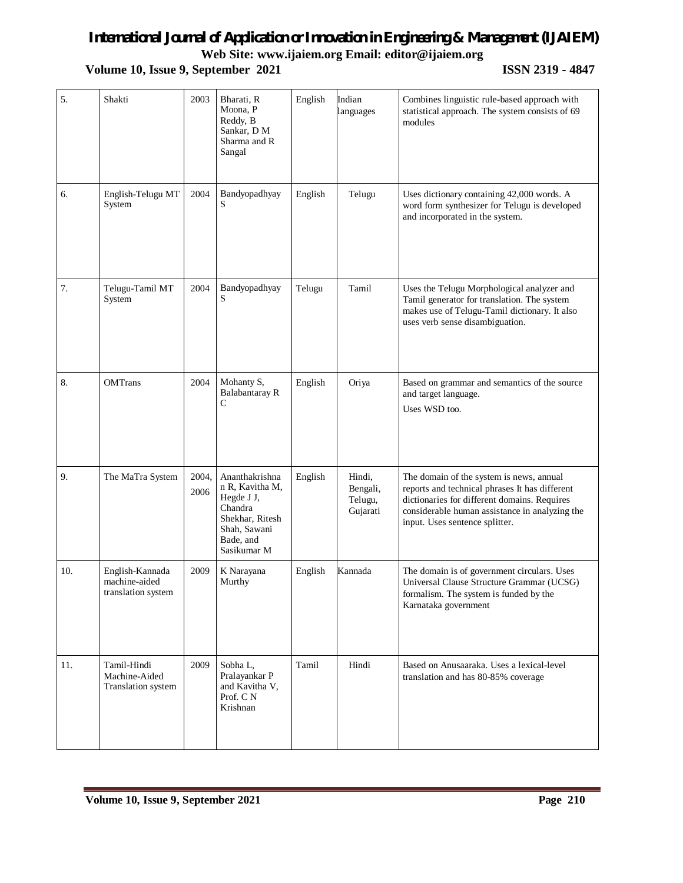**Web Site: www.ijaiem.org Email: editor@ijaiem.org**

**Volume 10, Issue 9, September 2021 ISSN 2319 - 4847** 

| 5.  | Shakti                                                 | 2003          | Bharati, R<br>Moona, P<br>Reddy, B<br>Sankar, D M<br>Sharma and R<br>Sangal                                               | English | Indian<br>languages                       | Combines linguistic rule-based approach with<br>statistical approach. The system consists of 69<br>modules                                                                                                                     |
|-----|--------------------------------------------------------|---------------|---------------------------------------------------------------------------------------------------------------------------|---------|-------------------------------------------|--------------------------------------------------------------------------------------------------------------------------------------------------------------------------------------------------------------------------------|
| 6.  | English-Telugu MT<br>System                            | 2004          | Bandyopadhyay<br>S                                                                                                        | English | Telugu                                    | Uses dictionary containing 42,000 words. A<br>word form synthesizer for Telugu is developed<br>and incorporated in the system.                                                                                                 |
| 7.  | Telugu-Tamil MT<br>System                              | 2004          | Bandyopadhyay<br>S                                                                                                        | Telugu  | Tamil                                     | Uses the Telugu Morphological analyzer and<br>Tamil generator for translation. The system<br>makes use of Telugu-Tamil dictionary. It also<br>uses verb sense disambiguation.                                                  |
| 8.  | <b>OMTrans</b>                                         | 2004          | Mohanty S,<br><b>Balabantaray R</b><br>C                                                                                  | English | Oriya                                     | Based on grammar and semantics of the source<br>and target language.<br>Uses WSD too.                                                                                                                                          |
| 9.  | The MaTra System                                       | 2004,<br>2006 | Ananthakrishna<br>n R, Kavitha M,<br>Hegde J J,<br>Chandra<br>Shekhar, Ritesh<br>Shah, Sawani<br>Bade, and<br>Sasikumar M | English | Hindi,<br>Bengali,<br>Telugu,<br>Gujarati | The domain of the system is news, annual<br>reports and technical phrases It has different<br>dictionaries for different domains. Requires<br>considerable human assistance in analyzing the<br>input. Uses sentence splitter. |
| 10. | English-Kannada<br>machine-aided<br>translation system | 2009          | K Narayana<br>Murthy                                                                                                      | English | Kannada                                   | The domain is of government circulars. Uses<br>Universal Clause Structure Grammar (UCSG)<br>formalism. The system is funded by the<br>Karnataka government                                                                     |
| 11. | Tamil-Hindi<br>Machine-Aided<br>Translation system     | 2009          | Sobha L.<br>Pralayankar P<br>and Kavitha V,<br>Prof. C N<br>Krishnan                                                      | Tamil   | Hindi                                     | Based on Anusaaraka. Uses a lexical-level<br>translation and has 80-85% coverage                                                                                                                                               |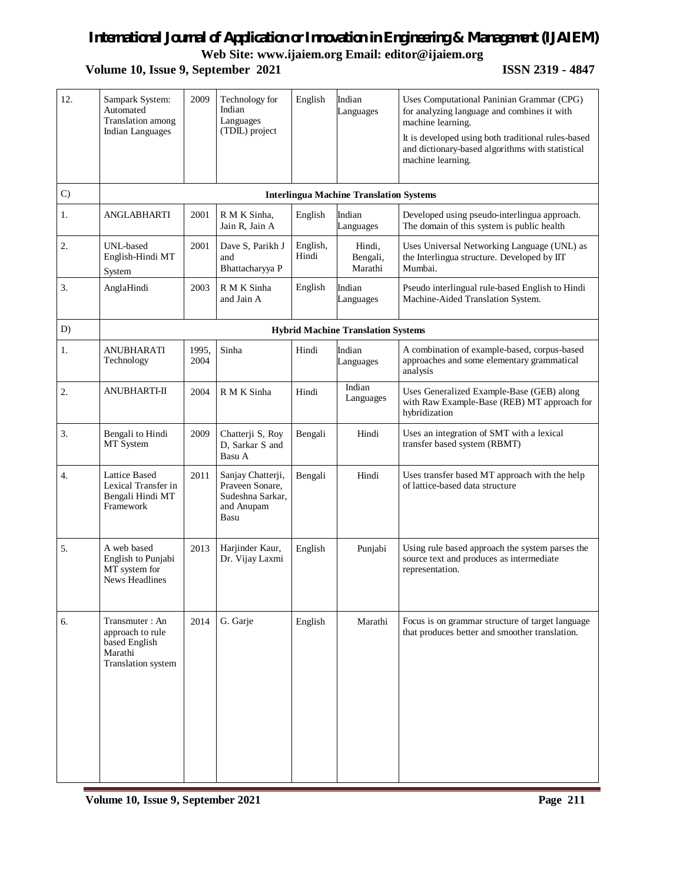**Web Site: www.ijaiem.org Email: editor@ijaiem.org**

**Volume 10, Issue 9, September 2021 ISSN 2319 - 4847** 

| 12. | Sampark System:<br>Automated<br>Translation among<br><b>Indian Languages</b>         | 2009          | Technology for<br>Indian<br>Languages<br>(TDIL) project                        | English           | Indian<br>Languages                            | Uses Computational Paninian Grammar (CPG)<br>for analyzing language and combines it with<br>machine learning.<br>It is developed using both traditional rules-based<br>and dictionary-based algorithms with statistical<br>machine learning. |
|-----|--------------------------------------------------------------------------------------|---------------|--------------------------------------------------------------------------------|-------------------|------------------------------------------------|----------------------------------------------------------------------------------------------------------------------------------------------------------------------------------------------------------------------------------------------|
| C)  |                                                                                      |               |                                                                                |                   |                                                |                                                                                                                                                                                                                                              |
|     |                                                                                      |               |                                                                                |                   | <b>Interlingua Machine Translation Systems</b> |                                                                                                                                                                                                                                              |
| 1.  | <b>ANGLABHARTI</b>                                                                   | 2001          | R M K Sinha,<br>Jain R, Jain A                                                 | English           | Indian<br>Languages                            | Developed using pseudo-interlingua approach.<br>The domain of this system is public health                                                                                                                                                   |
| 2.  | UNL-based<br>English-Hindi MT<br>System                                              | 2001          | Dave S, Parikh J<br>and<br>Bhattacharyya P                                     | English,<br>Hindi | Hindi,<br>Bengali,<br>Marathi                  | Uses Universal Networking Language (UNL) as<br>the Interlingua structure. Developed by IIT<br>Mumbai.                                                                                                                                        |
| 3.  | AnglaHindi                                                                           | 2003          | R M K Sinha<br>and Jain A                                                      | English           | Indian<br>Languages                            | Pseudo interlingual rule-based English to Hindi<br>Machine-Aided Translation System.                                                                                                                                                         |
| D)  |                                                                                      |               |                                                                                |                   | <b>Hybrid Machine Translation Systems</b>      |                                                                                                                                                                                                                                              |
| 1.  | <b>ANUBHARATI</b><br>Technology                                                      | 1995,<br>2004 | Sinha                                                                          | Hindi             | Indian<br>Languages                            | A combination of example-based, corpus-based<br>approaches and some elementary grammatical<br>analysis                                                                                                                                       |
| 2.  | <b>ANUBHARTI-II</b>                                                                  | 2004          | R M K Sinha                                                                    | Hindi             | Indian<br>Languages                            | Uses Generalized Example-Base (GEB) along<br>with Raw Example-Base (REB) MT approach for<br>hybridization                                                                                                                                    |
| 3.  | Bengali to Hindi<br>MT System                                                        | 2009          | Chatterji S, Roy<br>D, Sarkar S and<br>Basu A                                  | Bengali           | Hindi                                          | Uses an integration of SMT with a lexical<br>transfer based system (RBMT)                                                                                                                                                                    |
| 4.  | <b>Lattice Based</b><br>Lexical Transfer in<br>Bengali Hindi MT<br>Framework         | 2011          | Sanjay Chatterji,<br>Praveen Sonare.<br>Sudeshna Sarkar,<br>and Anupam<br>Basu | Bengali           | Hindi                                          | Uses transfer based MT approach with the help<br>of lattice-based data structure                                                                                                                                                             |
| 5.  | A web based<br>English to Punjabi<br>MT system for<br><b>News Headlines</b>          | 2013          | Harjinder Kaur,<br>Dr. Vijay Laxmi                                             | English           | Punjabi                                        | Using rule based approach the system parses the<br>source text and produces as intermediate<br>representation.                                                                                                                               |
| 6.  | Transmuter: An<br>approach to rule<br>based English<br>Marathi<br>Translation system | 2014          | G. Garje                                                                       | English           | Marathi                                        | Focus is on grammar structure of target language<br>that produces better and smoother translation.                                                                                                                                           |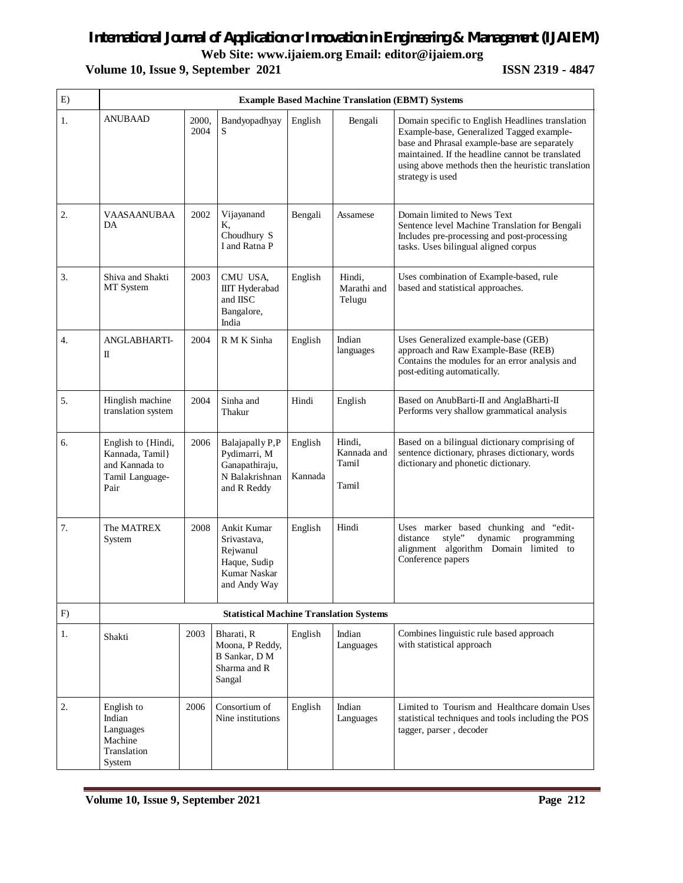**Web Site: www.ijaiem.org Email: editor@ijaiem.org**

## **Volume 10, Issue 9, September 2021 ISSN 2319 - 4847**

| E) | <b>Example Based Machine Translation (EBMT) Systems</b>                            |               |                                                                                        |                    |                                         |                                                                                                                                                                                                                                                                             |
|----|------------------------------------------------------------------------------------|---------------|----------------------------------------------------------------------------------------|--------------------|-----------------------------------------|-----------------------------------------------------------------------------------------------------------------------------------------------------------------------------------------------------------------------------------------------------------------------------|
| 1. | ANUBAAD                                                                            | 2000,<br>2004 | Bandyopadhyay<br>S                                                                     | English            | Bengali                                 | Domain specific to English Headlines translation<br>Example-base, Generalized Tagged example-<br>base and Phrasal example-base are separately<br>maintained. If the headline cannot be translated<br>using above methods then the heuristic translation<br>strategy is used |
| 2. | <b>VAASAANUBAA</b><br>DA                                                           | 2002          | Vijayanand<br>K.<br>Choudhury S<br>I and Ratna P                                       | Bengali            | Assamese                                | Domain limited to News Text<br>Sentence level Machine Translation for Bengali<br>Includes pre-processing and post-processing<br>tasks. Uses bilingual aligned corpus                                                                                                        |
| 3. | Shiva and Shakti<br>MT System                                                      | 2003          | CMU USA,<br><b>IIIT</b> Hyderabad<br>and IISC<br>Bangalore,<br>India                   | English            | Hindi,<br>Marathi and<br>Telugu         | Uses combination of Example-based, rule<br>based and statistical approaches.                                                                                                                                                                                                |
| 4. | <b>ANGLABHARTI-</b><br>П                                                           | 2004          | R M K Sinha                                                                            | English            | Indian<br>languages                     | Uses Generalized example-base (GEB)<br>approach and Raw Example-Base (REB)<br>Contains the modules for an error analysis and<br>post-editing automatically.                                                                                                                 |
| 5. | Hinglish machine<br>translation system                                             | 2004          | Sinha and<br>Thakur                                                                    | Hindi              | English                                 | Based on AnubBarti-II and AnglaBharti-II<br>Performs very shallow grammatical analysis                                                                                                                                                                                      |
| 6. | English to {Hindi,<br>Kannada, Tamil}<br>and Kannada to<br>Tamil Language-<br>Pair | 2006          | Balajapally P,P<br>Pydimarri, M<br>Ganapathiraju,<br>N Balakrishnan<br>and R Reddy     | English<br>Kannada | Hindi,<br>Kannada and<br>Tamil<br>Tamil | Based on a bilingual dictionary comprising of<br>sentence dictionary, phrases dictionary, words<br>dictionary and phonetic dictionary.                                                                                                                                      |
| 7. | The MATREX<br>System                                                               | 2008          | Ankit Kumar<br>Srivastava,<br>Rejwanul<br>Haque, Sudip<br>Kumar Naskar<br>and Andy Way | English            | Hindi                                   | Uses marker based chunking and "edit-<br>distance<br>dynamic<br>programming<br>style"<br>alignment algorithm Domain limited to<br>Conference papers                                                                                                                         |
| F) |                                                                                    |               | <b>Statistical Machine Translation Systems</b>                                         |                    |                                         |                                                                                                                                                                                                                                                                             |
| 1. | Shakti                                                                             | 2003          | Bharati, R<br>Moona, P Reddy,<br>B Sankar, D M<br>Sharma and R<br>Sangal               | English            | Indian<br>Languages                     | Combines linguistic rule based approach<br>with statistical approach                                                                                                                                                                                                        |
| 2. | English to<br>Indian<br>Languages<br>Machine<br>Translation<br>System              | 2006          | Consortium of<br>Nine institutions                                                     | English            | Indian<br>Languages                     | Limited to Tourism and Healthcare domain Uses<br>statistical techniques and tools including the POS<br>tagger, parser, decoder                                                                                                                                              |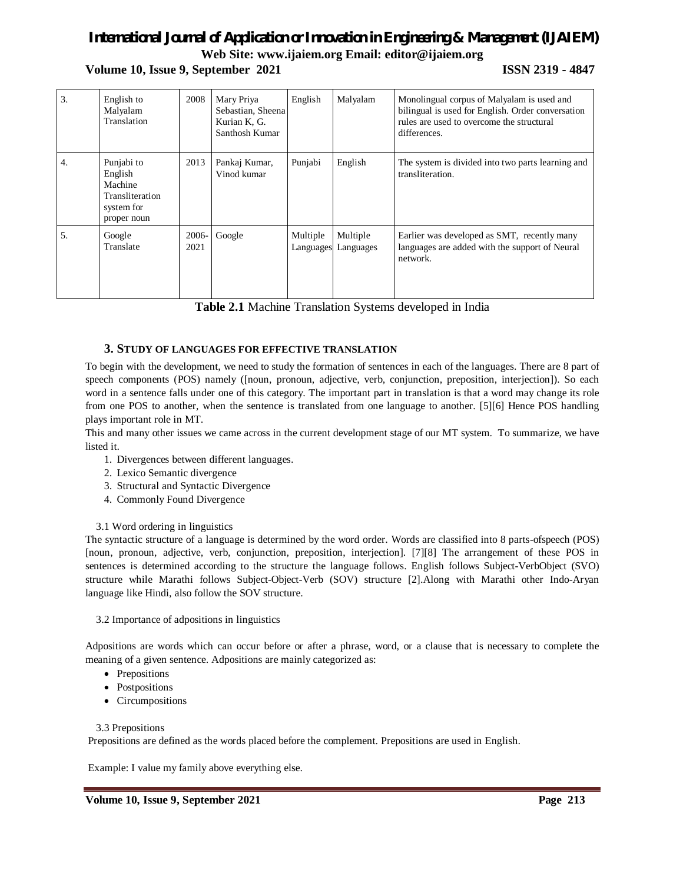**Web Site: www.ijaiem.org Email: editor@ijaiem.org**

**Volume 10, Issue 9, September 2021 ISSN 2319 - 4847** 

| 3. | English to<br>Malyalam<br>Translation                                            | 2008          | Mary Priya<br>Sebastian, Sheena<br>Kurian K, G.<br>Santhosh Kumar | English               | Malyalam              | Monolingual corpus of Malyalam is used and<br>bilingual is used for English. Order conversation<br>rules are used to overcome the structural<br>differences. |
|----|----------------------------------------------------------------------------------|---------------|-------------------------------------------------------------------|-----------------------|-----------------------|--------------------------------------------------------------------------------------------------------------------------------------------------------------|
| 4. | Punjabi to<br>English<br>Machine<br>Transliteration<br>system for<br>proper noun | 2013          | Pankaj Kumar,<br>Vinod kumar                                      | Punjabi               | English               | The system is divided into two parts learning and<br>transliteration.                                                                                        |
| 5. | Google<br>Translate                                                              | 2006-<br>2021 | Google                                                            | Multiple<br>Languages | Multiple<br>Languages | Earlier was developed as SMT, recently many<br>languages are added with the support of Neural<br>network.                                                    |

**Table 2.1** Machine Translation Systems developed in India

## **3. STUDY OF LANGUAGES FOR EFFECTIVE TRANSLATION**

To begin with the development, we need to study the formation of sentences in each of the languages. There are 8 part of speech components (POS) namely ([noun, pronoun, adjective, verb, conjunction, preposition, interjection]). So each word in a sentence falls under one of this category. The important part in translation is that a word may change its role from one POS to another, when the sentence is translated from one language to another. [5][6] Hence POS handling plays important role in MT.

This and many other issues we came across in the current development stage of our MT system. To summarize, we have listed it.

- 1. Divergences between different languages.
- 2. Lexico Semantic divergence
- 3. Structural and Syntactic Divergence
- 4. Commonly Found Divergence

### 3.1 Word ordering in linguistics

The syntactic structure of a language is determined by the word order. Words are classified into 8 parts-ofspeech (POS) [noun, pronoun, adjective, verb, conjunction, preposition, interjection]. [7][8] The arrangement of these POS in sentences is determined according to the structure the language follows. English follows Subject-VerbObject (SVO) structure while Marathi follows Subject-Object-Verb (SOV) structure [2].Along with Marathi other Indo-Aryan language like Hindi, also follow the SOV structure.

### 3.2 Importance of adpositions in linguistics

Adpositions are words which can occur before or after a phrase, word, or a clause that is necessary to complete the meaning of a given sentence. Adpositions are mainly categorized as:

- Prepositions
- Postpositions
- Circumpositions

3.3 Prepositions

Prepositions are defined as the words placed before the complement. Prepositions are used in English.

Example: I value my family above everything else.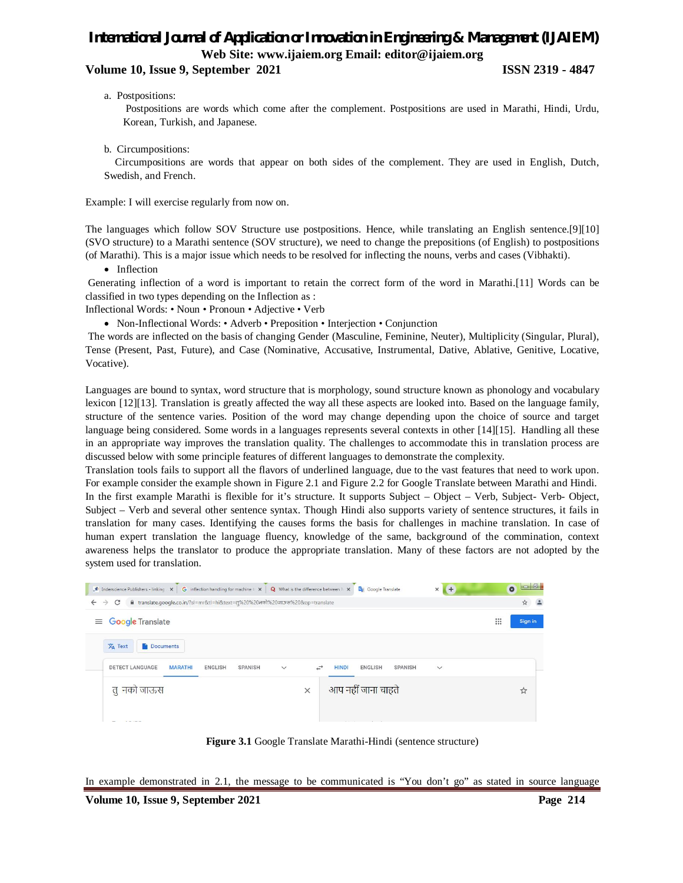## *International Journal of Application or Innovation in Engineering & Management (IJAIEM)* **Web Site: www.ijaiem.org Email: editor@ijaiem.org**

## **Volume 10, Issue 9, September 2021 ISSN 2319 - 4847**

a. Postpositions:

Postpositions are words which come after the complement. Postpositions are used in Marathi, Hindi, Urdu, Korean, Turkish, and Japanese.

b. Circumpositions:

 Circumpositions are words that appear on both sides of the complement. They are used in English, Dutch, Swedish, and French.

Example: I will exercise regularly from now on.

The languages which follow SOV Structure use postpositions. Hence, while translating an English sentence.[9][10] (SVO structure) to a Marathi sentence (SOV structure), we need to change the prepositions (of English) to postpositions (of Marathi). This is a major issue which needs to be resolved for inflecting the nouns, verbs and cases (Vibhakti).

• Inflection

Generating inflection of a word is important to retain the correct form of the word in Marathi.[11] Words can be classified in two types depending on the Inflection as :

Inflectional Words: • Noun • Pronoun • Adjective • Verb

• Non-Inflectional Words: • Adverb • Preposition • Interjection • Conjunction

The words are inflected on the basis of changing Gender (Masculine, Feminine, Neuter), Multiplicity (Singular, Plural), Tense (Present, Past, Future), and Case (Nominative, Accusative, Instrumental, Dative, Ablative, Genitive, Locative, Vocative).

Languages are bound to syntax, word structure that is morphology, sound structure known as phonology and vocabulary lexicon [12][13]. Translation is greatly affected the way all these aspects are looked into. Based on the language family, structure of the sentence varies. Position of the word may change depending upon the choice of source and target language being considered. Some words in a languages represents several contexts in other [14][15]. Handling all these in an appropriate way improves the translation quality. The challenges to accommodate this in translation process are discussed below with some principle features of different languages to demonstrate the complexity.

Translation tools fails to support all the flavors of underlined language, due to the vast features that need to work upon. For example consider the example shown in Figure 2.1 and Figure 2.2 for Google Translate between Marathi and Hindi. In the first example Marathi is flexible for it's structure. It supports Subject – Object – Verb, Subject- Verb- Object, Subject – Verb and several other sentence syntax. Though Hindi also supports variety of sentence structures, it fails in translation for many cases. Identifying the causes forms the basis for challenges in machine translation. In case of human expert translation the language fluency, knowledge of the same, background of the commination, context awareness helps the translator to produce the appropriate translation. Many of these factors are not adopted by the system used for translation.

| Inderscience Publishers - linking X                                                                                   | G inflection handling for machine $\vert x \vert$ Q What is the difference between $\vert x \vert$ Q Google Translate | $\times$<br>$($ +                                | $  - 0  $<br>$\bullet$                    |
|-----------------------------------------------------------------------------------------------------------------------|-----------------------------------------------------------------------------------------------------------------------|--------------------------------------------------|-------------------------------------------|
| fil translate.google.co.in/?sl=mr&tl=hi&text=तृ%20%20नको%20जाऊस%20&op=translate<br>C<br>$\leftarrow$<br>$\rightarrow$ |                                                                                                                       |                                                  | 立                                         |
| $\equiv$ Google Translate                                                                                             |                                                                                                                       |                                                  | $\mathop{\mathbb{H}}\nolimits$<br>Sign in |
| $\overline{X}_A$ Text<br><b>Documents</b>                                                                             |                                                                                                                       |                                                  |                                           |
| <b>DETECT LANGUAGE</b><br><b>SPANISH</b><br><b>MARATHI</b><br><b>ENGLISH</b>                                          | $\rightarrow$<br><b>HINDI</b><br>$\checkmark$                                                                         | <b>ENGLISH</b><br><b>SPANISH</b><br>$\checkmark$ |                                           |
| तु नको जाऊस                                                                                                           | $\times$                                                                                                              | आप नहीं जाना चाहते                               | ☆                                         |
|                                                                                                                       |                                                                                                                       |                                                  |                                           |

**Figure 3.1** Google Translate Marathi-Hindi (sentence structure)

In example demonstrated in 2.1, the message to be communicated is "You don't go" as stated in source language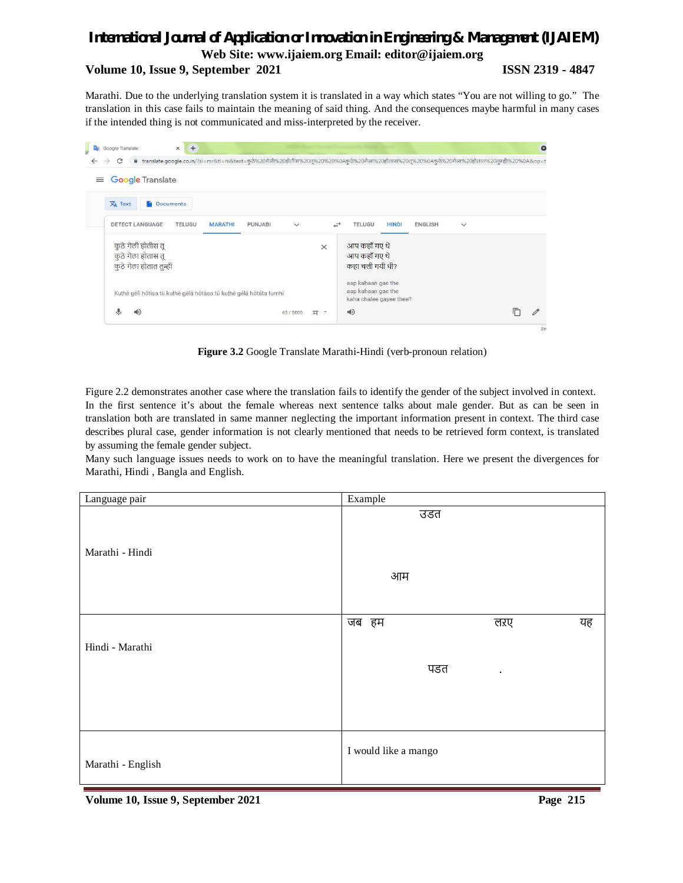**Web Site: www.ijaiem.org Email: editor@ijaiem.org**

### **Volume 10, Issue 9, September 2021 ISSN 2319 - 4847**

Marathi. Due to the underlying translation system it is translated in a way which states "You are not willing to go." The translation in this case fails to maintain the meaning of said thing. And the consequences maybe harmful in many cases if the intended thing is not communicated and miss-interpreted by the receiver.



**Figure 3.2** Google Translate Marathi-Hindi (verb-pronoun relation)

Figure 2.2 demonstrates another case where the translation fails to identify the gender of the subject involved in context. In the first sentence it's about the female whereas next sentence talks about male gender. But as can be seen in translation both are translated in same manner neglecting the important information present in context. The third case describes plural case, gender information is not clearly mentioned that needs to be retrieved form context, is translated by assuming the female gender subject.

Many such language issues needs to work on to have the meaningful translation. Here we present the divergences for Marathi, Hindi , Bangla and English.

| Language pair     | Example              |           |    |
|-------------------|----------------------|-----------|----|
| Marathi - Hindi   | उडत                  |           |    |
|                   | आम                   |           |    |
|                   | जब हम                | लरए       | यह |
| Hindi - Marathi   |                      |           |    |
|                   | पडत                  | $\bullet$ |    |
|                   |                      |           |    |
| Marathi - English | I would like a mango |           |    |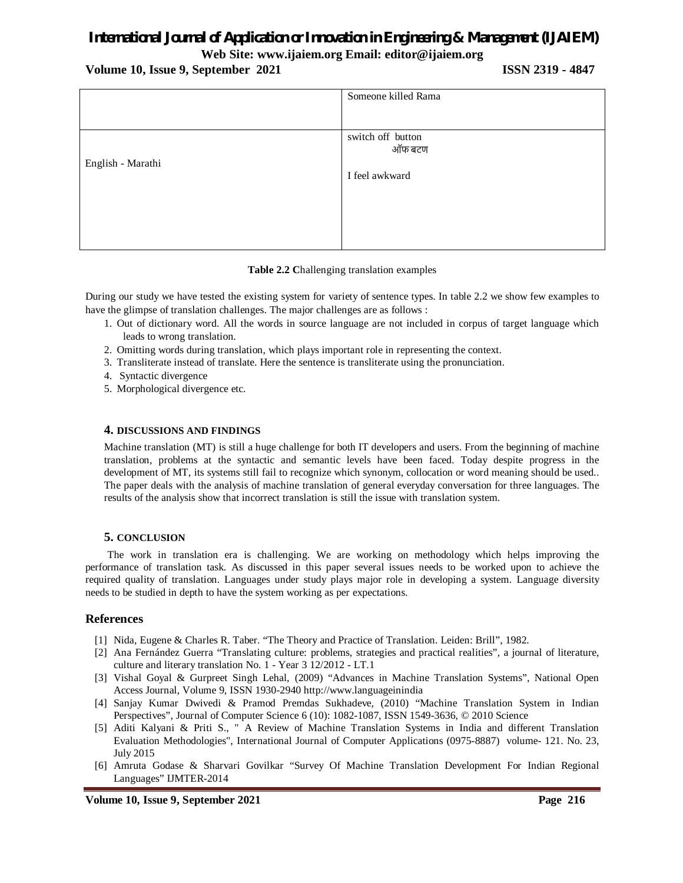**Web Site: www.ijaiem.org Email: editor@ijaiem.org**

**Volume 10, Issue 9, September 2021 ISSN 2319 - 4847**

|                   | Someone killed Rama |
|-------------------|---------------------|
|                   |                     |
|                   | switch off button   |
|                   | ऑफ बटण              |
| English - Marathi |                     |
|                   | I feel awkward      |
|                   |                     |
|                   |                     |
|                   |                     |
|                   |                     |

### **Table 2.2 C**hallenging translation examples

During our study we have tested the existing system for variety of sentence types. In table 2.2 we show few examples to have the glimpse of translation challenges. The major challenges are as follows :

- 1. Out of dictionary word. All the words in source language are not included in corpus of target language which leads to wrong translation.
- 2. Omitting words during translation, which plays important role in representing the context.
- 3. Transliterate instead of translate. Here the sentence is transliterate using the pronunciation.
- 4. Syntactic divergence
- 5. Morphological divergence etc.

#### **4. DISCUSSIONS AND FINDINGS**

Machine translation (MT) is still a huge challenge for both IT developers and users. From the beginning of machine translation, problems at the syntactic and semantic levels have been faced. Today despite progress in the development of MT, its systems still fail to recognize which synonym, collocation or word meaning should be used.. The paper deals with the analysis of machine translation of general everyday conversation for three languages. The results of the analysis show that incorrect translation is still the issue with translation system.

### **5. CONCLUSION**

 The work in translation era is challenging. We are working on methodology which helps improving the performance of translation task. As discussed in this paper several issues needs to be worked upon to achieve the required quality of translation. Languages under study plays major role in developing a system. Language diversity needs to be studied in depth to have the system working as per expectations.

### **References**

- [1] Nida, Eugene & Charles R. Taber. "The Theory and Practice of Translation. Leiden: Brill", 1982.
- [2] Ana Fernández Guerra "Translating culture: problems, strategies and practical realities", a journal of literature, culture and literary translation No. 1 - Year 3 12/2012 - LT.1
- [3] Vishal Goyal & Gurpreet Singh Lehal, (2009) "Advances in Machine Translation Systems", National Open Access Journal, Volume 9, ISSN 1930-2940 http://www.languageinindia
- [4] Sanjay Kumar Dwivedi & Pramod Premdas Sukhadeve, (2010) "Machine Translation System in Indian Perspectives", Journal of Computer Science 6 (10): 1082-1087, ISSN 1549-3636, © 2010 Science
- [5] Aditi Kalyani & Priti S., " A Review of Machine Translation Systems in India and different Translation Evaluation Methodologies", International Journal of Computer Applications (0975-8887) volume- 121. No. 23, July 2015
- [6] Amruta Godase & Sharvari Govilkar "Survey Of Machine Translation Development For Indian Regional Languages" IJMTER-2014